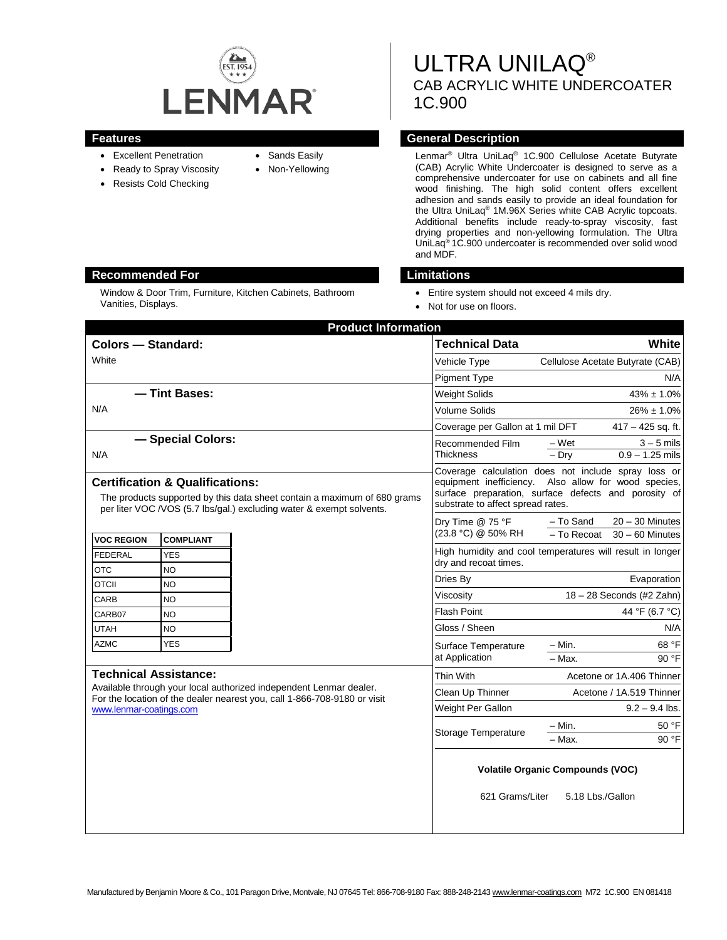

- Excellent Penetration
- Ready to Spray Viscosity
- Resists Cold Checking
- Sands Easily
- Non-Yellowing

ULTRA UNILAQ® CAB ACRYLIC WHITE UNDERCOATER 1C.900

### **Features General Description**

Lenmar® Ultra UniLaq® 1C.900 Cellulose Acetate Butyrate (CAB) Acrylic White Undercoater is designed to serve as a comprehensive undercoater for use on cabinets and all fine wood finishing. The high solid content offers excellent adhesion and sands easily to provide an ideal foundation for the Ultra UniLaq® 1M.96X Series white CAB Acrylic topcoats. Additional benefits include ready-to-spray viscosity, fast drying properties and non-yellowing formulation. The Ultra UniLaq® 1C.900 undercoater is recommended over solid wood and MDF.

#### **Recommended For Limitations**

Window & Door Trim, Furniture, Kitchen Cabinets, Bathroom Vanities, Displays.

- Entire system should not exceed 4 mils dry.
- Not for use on floors.

| <b>Product Information</b>                                                                                                                                                                                                                                                                                                                                                                                 |                                                                    |  |
|------------------------------------------------------------------------------------------------------------------------------------------------------------------------------------------------------------------------------------------------------------------------------------------------------------------------------------------------------------------------------------------------------------|--------------------------------------------------------------------|--|
| <b>Technical Data</b>                                                                                                                                                                                                                                                                                                                                                                                      | White                                                              |  |
| Vehicle Type                                                                                                                                                                                                                                                                                                                                                                                               | Cellulose Acetate Butyrate (CAB)                                   |  |
| <b>Pigment Type</b>                                                                                                                                                                                                                                                                                                                                                                                        | N/A                                                                |  |
| <b>Weight Solids</b>                                                                                                                                                                                                                                                                                                                                                                                       | $43\% \pm 1.0\%$                                                   |  |
| <b>Volume Solids</b>                                                                                                                                                                                                                                                                                                                                                                                       | $26\% \pm 1.0\%$                                                   |  |
| Coverage per Gallon at 1 mil DFT                                                                                                                                                                                                                                                                                                                                                                           | $417 - 425$ sq. ft.                                                |  |
| Recommended Film<br>Thickness                                                                                                                                                                                                                                                                                                                                                                              | $3 - 5$ mils<br>– Wet<br>$0.9 - 1.25$ mils<br>$-$ Drv              |  |
| Coverage calculation does not include spray loss or<br><b>Certification &amp; Qualifications:</b><br>equipment inefficiency. Also allow for wood species,<br>surface preparation, surface defects and porosity of<br>The products supported by this data sheet contain a maximum of 680 grams<br>substrate to affect spread rates.<br>per liter VOC /VOS (5.7 lbs/gal.) excluding water & exempt solvents. |                                                                    |  |
| Dry Time @ 75 °F<br>(23.8 °C) @ 50% RH                                                                                                                                                                                                                                                                                                                                                                     | - To Sand<br>$20 - 30$ Minutes<br>- To Recoat<br>$30 - 60$ Minutes |  |
| dry and recoat times.                                                                                                                                                                                                                                                                                                                                                                                      | High humidity and cool temperatures will result in longer          |  |
| Dries By                                                                                                                                                                                                                                                                                                                                                                                                   | Evaporation                                                        |  |
| Viscosity                                                                                                                                                                                                                                                                                                                                                                                                  | $18 - 28$ Seconds (#2 Zahn)                                        |  |
| <b>Flash Point</b>                                                                                                                                                                                                                                                                                                                                                                                         | 44 °F (6.7 °C)                                                     |  |
| Gloss / Sheen                                                                                                                                                                                                                                                                                                                                                                                              | N/A                                                                |  |
| Surface Temperature                                                                                                                                                                                                                                                                                                                                                                                        | 68 °F<br>– Min.                                                    |  |
| at Application                                                                                                                                                                                                                                                                                                                                                                                             | $-$ Max.<br>90 °F                                                  |  |
| Thin With                                                                                                                                                                                                                                                                                                                                                                                                  | Acetone or 1A.406 Thinner                                          |  |
| Clean Up Thinner                                                                                                                                                                                                                                                                                                                                                                                           | Acetone / 1A.519 Thinner                                           |  |
| Weight Per Gallon                                                                                                                                                                                                                                                                                                                                                                                          | $9.2 - 9.4$ lbs.                                                   |  |
| Storage Temperature                                                                                                                                                                                                                                                                                                                                                                                        | – Min.<br>50 °F<br>90 °F<br>- Max.                                 |  |
| <b>Volatile Organic Compounds (VOC)</b><br>621 Grams/Liter<br>5.18 Lbs./Gallon                                                                                                                                                                                                                                                                                                                             |                                                                    |  |
|                                                                                                                                                                                                                                                                                                                                                                                                            |                                                                    |  |